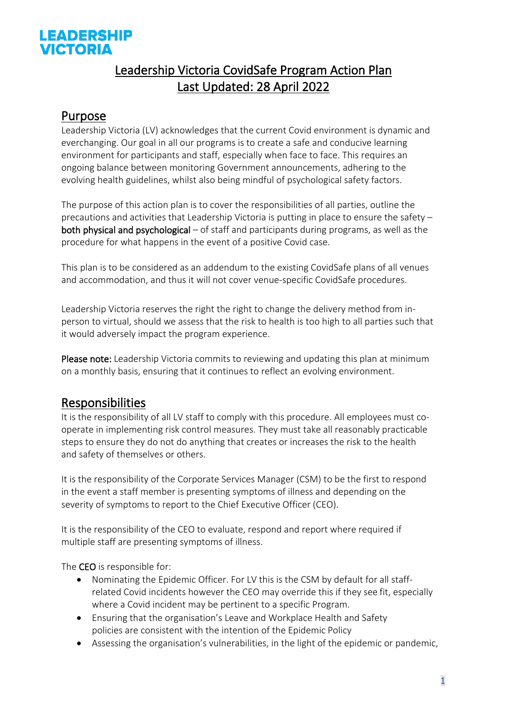# **LEADERSHIP VICTORIA**

# Leadership Victoria CovidSafe Program Action Plan Last Updated: 28 April 2022

## Purpose

Leadership Victoria (LV) acknowledges that the current Covid environment is dynamic and everchanging. Our goal in all our programs is to create a safe and conducive learning environment for participants and staff, especially when face to face. This requires an ongoing balance between monitoring Government announcements, adhering to the evolving health guidelines, whilst also being mindful of psychological safety factors.

The purpose of this action plan is to cover the responsibilities of all parties, outline the precautions and activities that Leadership Victoria is putting in place to ensure the safety – both physical and psychological – of staff and participants during programs, as well as the procedure for what happens in the event of a positive Covid case.

This plan is to be considered as an addendum to the existing CovidSafe plans of all venues and accommodation, and thus it will not cover venue-specific CovidSafe procedures.

Leadership Victoria reserves the right the right to change the delivery method from inperson to virtual, should we assess that the risk to health is too high to all parties such that it would adversely impact the program experience.

Please note: Leadership Victoria commits to reviewing and updating this plan at minimum on a monthly basis, ensuring that it continues to reflect an evolving environment.

## Responsibilities

It is the responsibility of all LV staff to comply with this procedure. All employees must cooperate in implementing risk control measures. They must take all reasonably practicable steps to ensure they do not do anything that creates or increases the risk to the health and safety of themselves or others.

It is the responsibility of the Corporate Services Manager (CSM) to be the first to respond in the event a staff member is presenting symptoms of illness and depending on the severity of symptoms to report to the Chief Executive Officer (CEO).

It is the responsibility of the CEO to evaluate, respond and report where required if multiple staff are presenting symptoms of illness.

The CEO is responsible for:

- Nominating the Epidemic Officer. For LV this is the CSM by default for all staffrelated Covid incidents however the CEO may override this if they see fit, especially where a Covid incident may be pertinent to a specific Program.
- Ensuring that the organisation's Leave and Workplace Health and Safety policies are consistent with the intention of the Epidemic Policy
- Assessing the organisation's vulnerabilities, in the light of the epidemic or pandemic,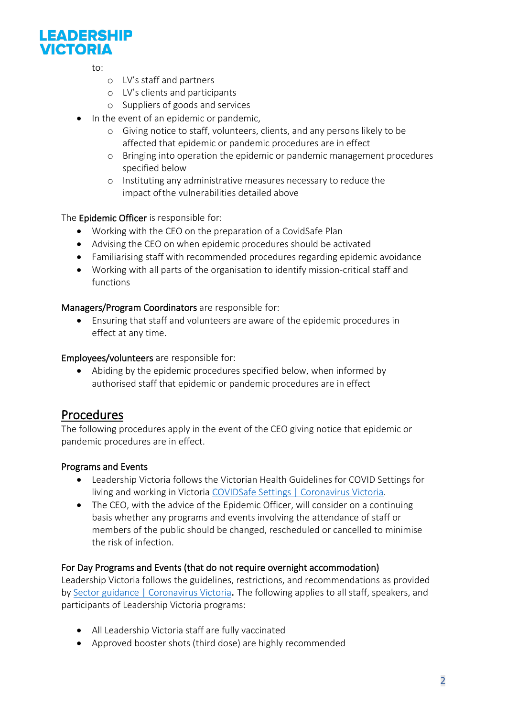

to:

- o LV's staff and partners
- o LV's clients and participants
- o Suppliers of goods and services
- In the event of an epidemic or pandemic,
	- o Giving notice to staff, volunteers, clients, and any persons likely to be affected that epidemic or pandemic procedures are in effect
	- o Bringing into operation the epidemic or pandemic management procedures specified below
	- o Instituting any administrative measures necessary to reduce the impact ofthe vulnerabilities detailed above

The **Epidemic Officer** is responsible for:

- Working with the CEO on the preparation of a CovidSafe Plan
- Advising the CEO on when epidemic procedures should be activated
- Familiarising staff with recommended procedures regarding epidemic avoidance
- Working with all parts of the organisation to identify mission-critical staff and functions

### Managers/Program Coordinators are responsible for:

• Ensuring that staff and volunteers are aware of the epidemic procedures in effect at any time.

### Employees/volunteers are responsible for:

• Abiding by the epidemic procedures specified below, when informed by authorised staff that epidemic or pandemic procedures are in effect

**Procedures**<br>The following procedures apply in the event of the CEO giving notice that epidemic or pandemic procedures are in effect.

### Programs and Events

- Leadership Victoria follows the Victorian Health Guidelines for COVID Settings for living and working in Victoria [COVIDSafe Settings | Coronavirus Victoria.](https://www.coronavirus.vic.gov.au/coronavirus-covidsafe-settings)
- The CEO, with the advice of the Epidemic Officer, will consider on a continuing basis whether any programs and events involving the attendance of staff or members of the public should be changed, rescheduled or cancelled to minimise the risk of infection.

### For Day Programs and Events (that do not require overnight accommodation)

Leadership Victoria follows the guidelines, restrictions, and recommendations as provided by [Sector guidance | Coronavirus Victoria](https://www.coronavirus.vic.gov.au/sector-guidance). The following applies to all staff, speakers, and participants of Leadership Victoria programs:

- All Leadership Victoria staff are fully vaccinated
- Approved booster shots (third dose) are highly recommended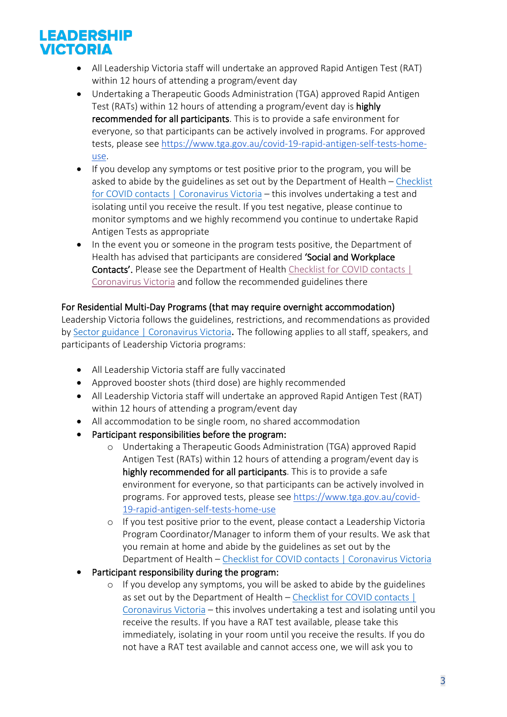## **LEADERSHIP VICTORIA**

- All Leadership Victoria staff will undertake an approved Rapid Antigen Test (RAT) within 12 hours of attending a program/event day
- Undertaking a Therapeutic Goods Administration (TGA) approved Rapid Antigen Test (RATs) within 12 hours of attending a program/event day is highly recommended for all participants. This is to provide a safe environment for everyone, so that participants can be actively involved in programs. For approved tests, please see [https://www.tga.gov.au/covid-19-rapid-antigen-self-tests-home](https://www.tga.gov.au/covid-19-rapid-antigen-self-tests-home-use)[use.](https://www.tga.gov.au/covid-19-rapid-antigen-self-tests-home-use)
- If you develop any symptoms or test positive prior to the program, you will be asked to abide by the guidelines as set out by the Department of Health  $-$  Checklist [for COVID contacts | Coronavirus Victoria](https://www.coronavirus.vic.gov.au/checklist-contacts) – this involves undertaking a test and isolating until you receive the result. If you test negative, please continue to monitor symptoms and we highly recommend you continue to undertake Rapid Antigen Tests as appropriate
- In the event you or someone in the program tests positive, the Department of Health has advised that participants are considered 'Social and Workplace Contacts'. Please see the Department of Health [Checklist for COVID contacts |](https://www.coronavirus.vic.gov.au/checklist-contacts)  [Coronavirus Victoria](https://www.coronavirus.vic.gov.au/checklist-contacts) and follow the recommended guidelines there

## For Residential Multi-Day Programs (that may require overnight accommodation)

Leadership Victoria follows the guidelines, restrictions, and recommendations as provided by [Sector guidance | Coronavirus Victoria](https://www.coronavirus.vic.gov.au/sector-guidance). The following applies to all staff, speakers, and participants of Leadership Victoria programs:

- All Leadership Victoria staff are fully vaccinated
- Approved booster shots (third dose) are highly recommended
- All Leadership Victoria staff will undertake an approved Rapid Antigen Test (RAT) within 12 hours of attending a program/event day
- All accommodation to be single room, no shared accommodation
- Participant responsibilities before the program:
	- o Undertaking a Therapeutic Goods Administration (TGA) approved Rapid Antigen Test (RATs) within 12 hours of attending a program/event day is highly recommended for all participants. This is to provide a safe environment for everyone, so that participants can be actively involved in programs. For approved tests, please see [https://www.tga.gov.au/covid-](https://www.tga.gov.au/covid-19-rapid-antigen-self-tests-home-use)[19-rapid-antigen-self-tests-home-use](https://www.tga.gov.au/covid-19-rapid-antigen-self-tests-home-use)
	- o If you test positive prior to the event, please contact a Leadership Victoria Program Coordinator/Manager to inform them of your results. We ask that you remain at home and abide by the guidelines as set out by the Department of Health – [Checklist for COVID contacts | Coronavirus Victoria](https://www.coronavirus.vic.gov.au/checklist-contacts)
- Participant responsibility during the program:
	- o If you develop any symptoms, you will be asked to abide by the guidelines as set out by the Department of Health – [Checklist for COVID contacts |](https://www.coronavirus.vic.gov.au/checklist-contacts)  [Coronavirus Victoria](https://www.coronavirus.vic.gov.au/checklist-contacts) – this involves undertaking a test and isolating until you receive the results. If you have a RAT test available, please take this immediately, isolating in your room until you receive the results. If you do not have a RAT test available and cannot access one, we will ask you to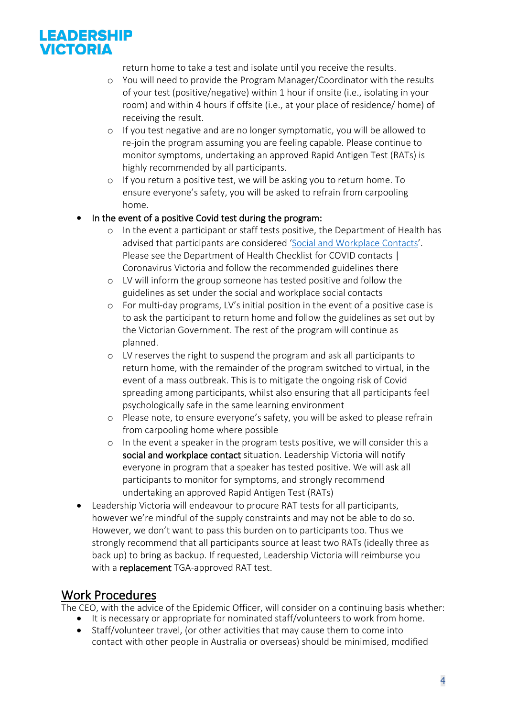

return home to take a test and isolate until you receive the results.

- o You will need to provide the Program Manager/Coordinator with the results of your test (positive/negative) within 1 hour if onsite (i.e., isolating in your room) and within 4 hours if offsite (i.e., at your place of residence/ home) of receiving the result.
- o If you test negative and are no longer symptomatic, you will be allowed to re-join the program assuming you are feeling capable. Please continue to monitor symptoms, undertaking an approved Rapid Antigen Test (RATs) is highly recommended by all participants.
- o If you return a positive test, we will be asking you to return home. To ensure everyone's safety, you will be asked to refrain from carpooling home.
- In the event of a positive Covid test during the program:
	- o In the event a participant or staff tests positive, the Department of Health has advised that participants are considered ['Social and Workplace Contacts'](https://www.coronavirus.vic.gov.au/checklist-cases). Please see the Department of Health Checklist for COVID contacts | Coronavirus Victoria and follow the recommended guidelines there
	- o LV will inform the group someone has tested positive and follow the guidelines as set under the social and workplace social contacts
	- o For multi-day programs, LV's initial position in the event of a positive case is to ask the participant to return home and follow the guidelines as set out by the Victorian Government. The rest of the program will continue as planned.
	- o LV reserves the right to suspend the program and ask all participants to return home, with the remainder of the program switched to virtual, in the event of a mass outbreak. This is to mitigate the ongoing risk of Covid spreading among participants, whilst also ensuring that all participants feel psychologically safe in the same learning environment
	- o Please note, to ensure everyone's safety, you will be asked to please refrain from carpooling home where possible
	- o In the event a speaker in the program tests positive, we will consider this a social and workplace contact situation. Leadership Victoria will notify everyone in program that a speaker has tested positive. We will ask all participants to monitor for symptoms, and strongly recommend undertaking an approved Rapid Antigen Test (RATs)
- Leadership Victoria will endeavour to procure RAT tests for all participants, however we're mindful of the supply constraints and may not be able to do so. However, we don't want to pass this burden on to participants too. Thus we strongly recommend that all participants source at least two RATs (ideally three as back up) to bring as backup. If requested, Leadership Victoria will reimburse you with a replacement TGA-approved RAT test.

Work Procedures<br>The CEO, with the advice of the Epidemic Officer, will consider on a continuing basis whether:

- It is necessary or appropriate for nominated staff/volunteers to work from home.
- Staff/volunteer travel, (or other activities that may cause them to come into contact with other people in Australia or overseas) should be minimised, modified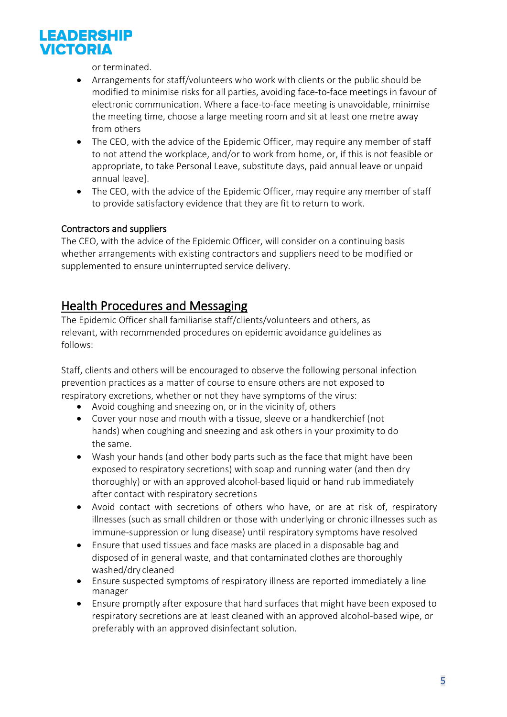

or terminated.

- Arrangements for staff/volunteers who work with clients or the public should be modified to minimise risks for all parties, avoiding face-to-face meetings in favour of electronic communication. Where a face-to-face meeting is unavoidable, minimise the meeting time, choose a large meeting room and sit at least one metre away from others
- The CEO, with the advice of the Epidemic Officer, may require any member of staff to not attend the workplace, and/or to work from home, or, if this is not feasible or appropriate, to take Personal Leave, substitute days, paid annual leave or unpaid annual leave].
- The CEO, with the advice of the Epidemic Officer, may require any member of staff to provide satisfactory evidence that they are fit to return to work.

## Contractors and suppliers

The CEO, with the advice of the Epidemic Officer, will consider on a continuing basis whether arrangements with existing contractors and suppliers need to be modified or supplemented to ensure uninterrupted service delivery.

Health Procedures and Messaging<br>The Epidemic Officer shall familiarise staff/clients/volunteers and others, as relevant, with recommended procedures on epidemic avoidance guidelines as follows:

Staff, clients and others will be encouraged to observe the following personal infection prevention practices as a matter of course to ensure others are not exposed to respiratory excretions, whether or not they have symptoms of the virus:

- Avoid coughing and sneezing on, or in the vicinity of, others
- Cover your nose and mouth with a tissue, sleeve or a handkerchief (not hands) when coughing and sneezing and ask others in your proximity to do the same.
- Wash your hands (and other body parts such as the face that might have been exposed to respiratory secretions) with soap and running water (and then dry thoroughly) or with an approved alcohol-based liquid or hand rub immediately after contact with respiratory secretions
- Avoid contact with secretions of others who have, or are at risk of, respiratory illnesses (such as small children or those with underlying or chronic illnesses such as immune-suppression or lung disease) until respiratory symptoms have resolved
- Ensure that used tissues and face masks are placed in a disposable bag and disposed of in general waste, and that contaminated clothes are thoroughly washed/dry cleaned
- Ensure suspected symptoms of respiratory illness are reported immediately a line manager
- Ensure promptly after exposure that hard surfaces that might have been exposed to respiratory secretions are at least cleaned with an approved alcohol-based wipe, or preferably with an approved disinfectant solution.